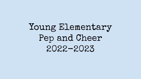# Young Elementary Pep and Cheer 2022-2023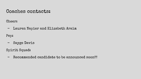### Coaches contacts:

Cheer:

- Lauren Napier and Elizabeth Araim

Pep:

- Sayge Davis

Spirit Squad:

- Recommended candidate to be announced soon!!!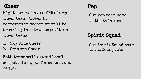# **Cheer**

Right now we have a VERY large cheer team. Closer to competition season we will be breaking into two competition cheer teams.

- 1. Sky Blue Cheer
- 2. Crimson Cheer

Both teams will attend local competitions, performances, and camps.

Our pep team name is the Aviators

# Spirit Squad

Our Spirit Squad name is the Young Jets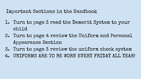Important Sections in the Handbook

- 1. Turn to page 3 read the Demerit System to your child
- 2. Turn to page 4 review the Uniform and Personal Appearance Section
- 3. Turn to page 3 review the uniform check system
- 4. UNIFORMS ARE TO BE WORN EVERY FRIDAY ALL YEAR!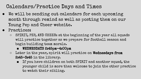# Calendars/Practice Days and Times

- We will be sending out calendars for each upcoming month through remind as well as posting them on our Young Pep and Cheer website.
- Practices:
	- SPIRIT, PEP, AND CHEER: at the beginning of the year all squads will practice together as we prepare for football season and begin building team morale.
		- **■** WEDNESDAYS 2:45pm-4:00pm
	- Later in the year, spirit will practice on Wednesdays from 2:45-3:45 in the library.
		- If you have children on both SPIRIT and another squad, the younger child is more than welcome to join the other practice to watch their sibling.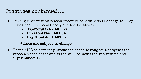### Practices continued….

- **●** During competition season practice schedule will change for Sky Blue Cheer, Crimson Cheer, and the Aviators.
	- **■** Aviators: 2:45-4:00pm
	- **■** Crimson: 2:45-4:00pm
	- **■** Sky Blue: 4:00-5:30pm

#### \*times are subject to change

● There WILL be saturday practices added throughout competition season. Those dates and times will be notified via remind and flyer handout.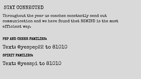## STAY CONNECTED

Throughout the year us coaches constantly send out communication and we have found that REMIND is the most efficient way.

#### PEP AND CHEER FAMILIES:

Text: @yespep22 to 81010

SPIRIT FAMILIES:

Text: @yesspi to 81010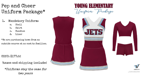# Pep and Cheer Uniform Package\*

- 1. Mandatory Uniform:
	- a. Shell
	- b. Skirt
	- c. Bundies
	- d. Liner

\*We are purchasing bows from an outside source at no cost to families.

COST: \$177.52

(taxes and shipping included)

\*Uniforms stay the same for two years





This illustration is intended as a represent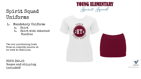### Spirit Squad Uniforms

- 1. Mandatory Uniform:
	- a. Shirt
	- b. Skirt with attached Bundies

\*we are purchasing bows from an outside source at no cost to families.

COST: \$45.23 (taxes and shipping included)









This illustration is intended as a representative<br>langue. Actual color, also, placement, etc. will vary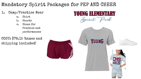## Mandatory Spirit Packages for PEP AND CHEER

#### 1. Camp/Practice Wear

- a. Shirt
- b. Shorts
- c. Shoes for Practice and performances

COST: \$78.15 (taxes and shipping included)



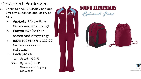# Optional Packages

- 1. These are all OPTIONAL add ons. You can purchase one, some, or all.
	- a. Jacket: \$73 (before taxes and shipping)
	- b. Pants: \$37 (before taxes and shipping)
	- c. BOTH TOGETHER: \$ 110.00 (before taxes and shipping)
	- d. Backpacks:
		- i. Sport: \$34.55
		- ii. Nylon: \$12.22 (Taxes and shipping included)